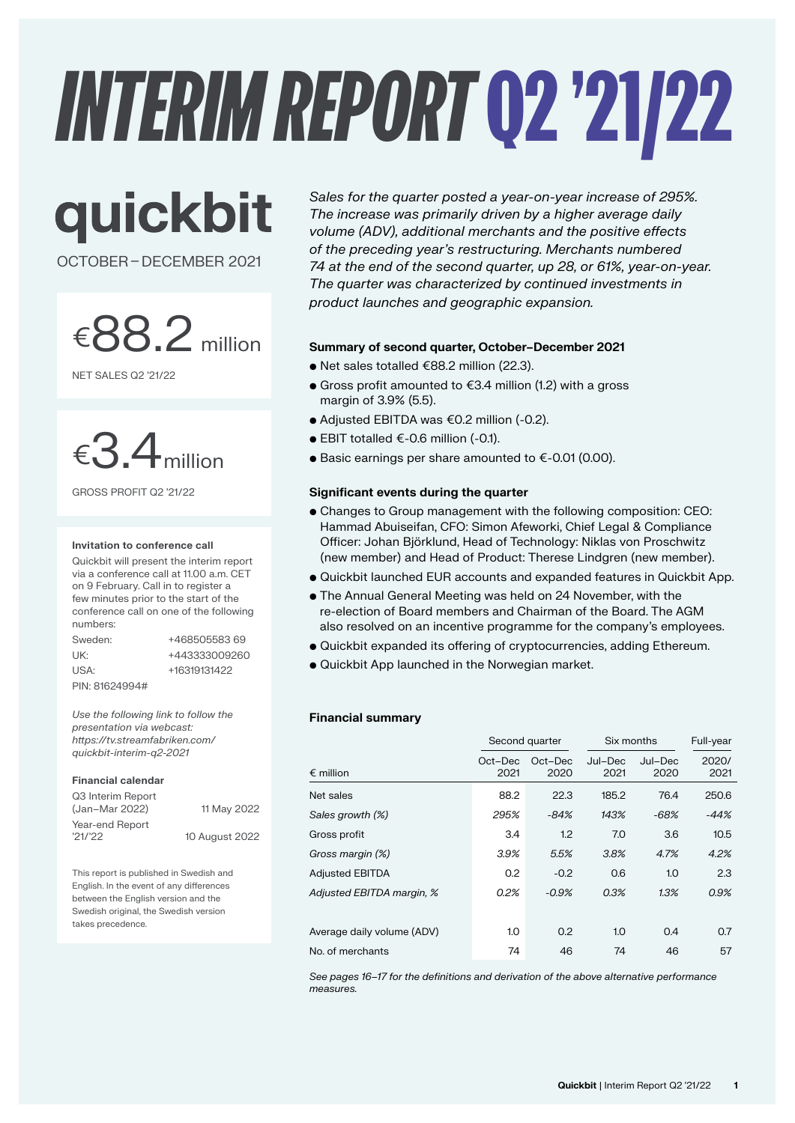# *INTERIM REPORT*Q2 '21/22

quickbit

OCTOBER–DECEMBER 2021

 $\epsilon$ 88.2 million

NET SALES Q2 '21/22



GROSS PROFIT Q2 '21/22

#### **Invitation to conference call**

Quickbit will present the interim report via a conference call at 11.00 a.m. CET on 9 February. Call in to register a few minutes prior to the start of the conference call on one of the following numbers:

| Sweden:        | +468505583.69 |
|----------------|---------------|
| UK:            | +443333009260 |
| USA:           | +16319131422  |
| PIN: 81624994# |               |

*Use the following link to follow the presentation via webcast: https://tv.streamfabriken.com/ quickbit-interim-q2-2021*

#### **Financial calendar**

| Q3 Interim Report<br>(Jan-Mar 2022) | 11 May 2022    |
|-------------------------------------|----------------|
| Year-end Report<br>'21/22           |                |
|                                     | 10 August 2022 |

This report is published in Swedish and English. In the event of any differences between the English version and the Swedish original, the Swedish version takes precedence.

*Sales for the quarter posted a year-on-year increase of 295%. The increase was primarily driven by a higher average daily volume (ADV), additional merchants and the positive effects of the preceding year's restructuring. Merchants numbered 74 at the end of the second quarter, up 28, or 61%, year-on-year. The quarter was characterized by continued investments in product launches and geographic expansion.*

### **Summary of second quarter, October–December 2021**

- Net sales totalled €88.2 million (22.3).
- Gross profit amounted to €3.4 million (1.2) with a gross margin of 3.9% (5.5).
- Adjusted EBITDA was €0.2 million (-0.2).
- EBIT totalled €-0.6 million (-0.1).
- Basic earnings per share amounted to €-0.01 (0.00).

### **Significant events during the quarter**

- Changes to Group management with the following composition: CEO: Hammad Abuiseifan, CFO: Simon Afeworki, Chief Legal & Compliance Officer: Johan Björklund, Head of Technology: Niklas von Proschwitz (new member) and Head of Product: Therese Lindgren (new member).
- Quickbit launched EUR accounts and expanded features in Quickbit App.
- The Annual General Meeting was held on 24 November, with the re-election of Board members and Chairman of the Board. The AGM also resolved on an incentive programme for the company's employees.
- Quickbit expanded its offering of cryptocurrencies, adding Ethereum.
- Quickbit App launched in the Norwegian market.

### **Financial summary**

|                            | Second quarter  |                 | Six months      |                 | Full-year     |
|----------------------------|-----------------|-----------------|-----------------|-----------------|---------------|
| $\epsilon$ million         | Oct-Dec<br>2021 | Oct-Dec<br>2020 | Jul-Dec<br>2021 | Jul-Dec<br>2020 | 2020/<br>2021 |
| Net sales                  | 88.2            | 22.3            | 185.2           | 76.4            | 250.6         |
| Sales growth (%)           | 295%            | $-84%$          | 143%            | -68%            | $-44%$        |
| Gross profit               | 3.4             | 1.2             | 7.0             | 3.6             | 10.5          |
| Gross margin (%)           | 3.9%            | 5.5%            | 3.8%            | 4.7%            | 4.2%          |
| <b>Adjusted EBITDA</b>     | 0.2             | $-0.2$          | 0.6             | 1.0             | 2.3           |
| Adjusted EBITDA margin, %  | 0.2%            | $-0.9%$         | 0.3%            | 1.3%            | 0.9%          |
|                            |                 |                 |                 |                 |               |
| Average daily volume (ADV) | 1.0             | 0.2             | 1.0             | 0.4             | 0.7           |
| No. of merchants           | 74              | 46              | 74              | 46              | 57            |

*See pages 16–17 for the definitions and derivation of the above alternative performance measures.*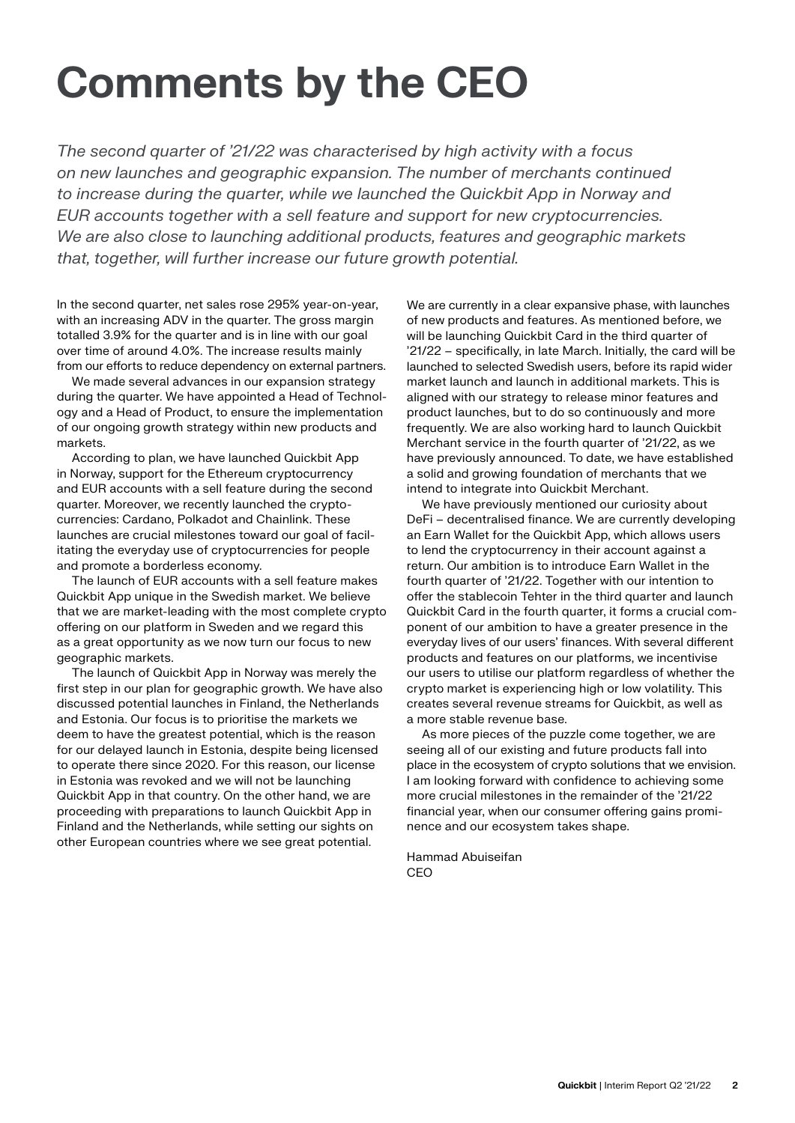# **Comments by the CEO**

*The second quarter of '21/22 was characterised by high activity with a focus on new launches and geographic expansion. The number of merchants continued to increase during the quarter, while we launched the Quickbit App in Norway and EUR accounts together with a sell feature and support for new cryptocurrencies. We are also close to launching additional products, features and geographic markets that, together, will further increase our future growth potential.*

In the second quarter, net sales rose 295% year-on-year, with an increasing ADV in the quarter. The gross margin totalled 3.9% for the quarter and is in line with our goal over time of around 4.0%. The increase results mainly from our efforts to reduce dependency on external partners.

We made several advances in our expansion strategy during the quarter. We have appointed a Head of Technology and a Head of Product, to ensure the implementation of our ongoing growth strategy within new products and markets.

According to plan, we have launched Quickbit App in Norway, support for the Ethereum cryptocurrency and EUR accounts with a sell feature during the second quarter. Moreover, we recently launched the cryptocurrencies: Cardano, Polkadot and Chainlink. These launches are crucial milestones toward our goal of facilitating the everyday use of cryptocurrencies for people and promote a borderless economy.

The launch of EUR accounts with a sell feature makes Quickbit App unique in the Swedish market. We believe that we are market-leading with the most complete crypto offering on our platform in Sweden and we regard this as a great opportunity as we now turn our focus to new geographic markets.

The launch of Quickbit App in Norway was merely the first step in our plan for geographic growth. We have also discussed potential launches in Finland, the Netherlands and Estonia. Our focus is to prioritise the markets we deem to have the greatest potential, which is the reason for our delayed launch in Estonia, despite being licensed to operate there since 2020. For this reason, our license in Estonia was revoked and we will not be launching Quickbit App in that country. On the other hand, we are proceeding with preparations to launch Quickbit App in Finland and the Netherlands, while setting our sights on other European countries where we see great potential.

We are currently in a clear expansive phase, with launches of new products and features. As mentioned before, we will be launching Quickbit Card in the third quarter of '21/22 – specifically, in late March. Initially, the card will be launched to selected Swedish users, before its rapid wider market launch and launch in additional markets. This is aligned with our strategy to release minor features and product launches, but to do so continuously and more frequently. We are also working hard to launch Quickbit Merchant service in the fourth quarter of '21/22, as we have previously announced. To date, we have established a solid and growing foundation of merchants that we intend to integrate into Quickbit Merchant.

We have previously mentioned our curiosity about DeFi – decentralised finance. We are currently developing an Earn Wallet for the Quickbit App, which allows users to lend the cryptocurrency in their account against a return. Our ambition is to introduce Earn Wallet in the fourth quarter of '21/22. Together with our intention to offer the stablecoin Tehter in the third quarter and launch Quickbit Card in the fourth quarter, it forms a crucial component of our ambition to have a greater presence in the everyday lives of our users' finances. With several different products and features on our platforms, we incentivise our users to utilise our platform regardless of whether the crypto market is experiencing high or low volatility. This creates several revenue streams for Quickbit, as well as a more stable revenue base.

As more pieces of the puzzle come together, we are seeing all of our existing and future products fall into place in the ecosystem of crypto solutions that we envision. I am looking forward with confidence to achieving some more crucial milestones in the remainder of the '21/22 financial year, when our consumer offering gains prominence and our ecosystem takes shape.

Hammad Abuiseifan C<sub>EO</sub>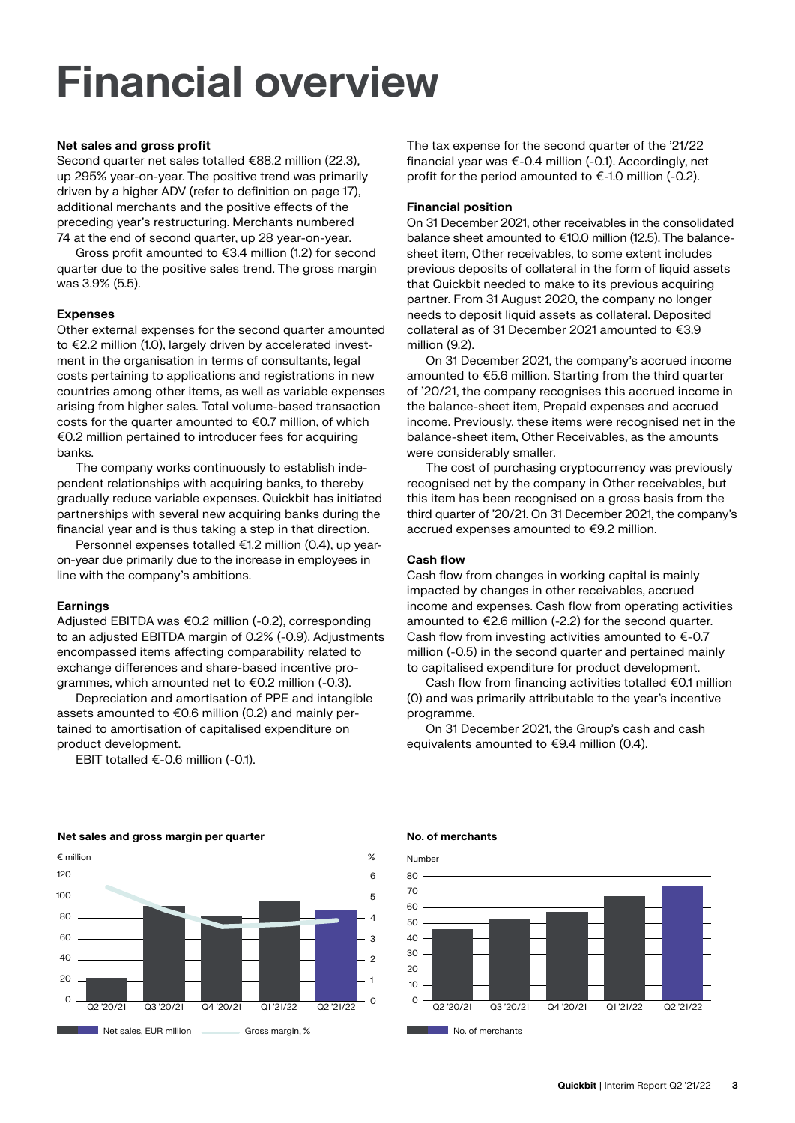# **Financial overview**

### **Net sales and gross profit**

Second quarter net sales totalled €88.2 million (22.3), up 295% year-on-year. The positive trend was primarily driven by a higher ADV (refer to definition on page 17), additional merchants and the positive effects of the preceding year's restructuring. Merchants numbered 74 at the end of second quarter, up 28 year-on-year.

Gross profit amounted to €3.4 million (1.2) for second quarter due to the positive sales trend. The gross margin was 3.9% (5.5).

### **Expenses**

Other external expenses for the second quarter amounted to €2.2 million (1.0), largely driven by accelerated investment in the organisation in terms of consultants, legal costs pertaining to applications and registrations in new countries among other items, as well as variable expenses arising from higher sales. Total volume-based transaction costs for the quarter amounted to €0.7 million, of which €0.2 million pertained to introducer fees for acquiring banks.

The company works continuously to establish independent relationships with acquiring banks, to thereby gradually reduce variable expenses. Quickbit has initiated partnerships with several new acquiring banks during the financial year and is thus taking a step in that direction.

Personnel expenses totalled €1.2 million (0.4), up yearon-year due primarily due to the increase in employees in line with the company's ambitions.

### **Earnings**

Adjusted EBITDA was €0.2 million (-0.2), corresponding to an adjusted EBITDA margin of 0.2% (-0.9). Adjustments encompassed items affecting comparability related to exchange differences and share-based incentive programmes, which amounted net to €0.2 million (-0.3).

Depreciation and amortisation of PPE and intangible assets amounted to €0.6 million (0.2) and mainly pertained to amortisation of capitalised expenditure on product development.

EBIT totalled €-0.6 million (-0.1).

The tax expense for the second quarter of the '21/22 financial year was €-0.4 million (-0.1). Accordingly, net profit for the period amounted to €-1.0 million (-0.2).

#### **Financial position**

On 31 December 2021, other receivables in the consolidated balance sheet amounted to €10.0 million (12.5). The balancesheet item, Other receivables, to some extent includes previous deposits of collateral in the form of liquid assets that Quickbit needed to make to its previous acquiring partner. From 31 August 2020, the company no longer needs to deposit liquid assets as collateral. Deposited collateral as of 31 December 2021 amounted to €3.9 million (9.2).

On 31 December 2021, the company's accrued income amounted to €5.6 million. Starting from the third quarter of '20/21, the company recognises this accrued income in the balance-sheet item, Prepaid expenses and accrued income. Previously, these items were recognised net in the balance-sheet item, Other Receivables, as the amounts were considerably smaller.

The cost of purchasing cryptocurrency was previously recognised net by the company in Other receivables, but this item has been recognised on a gross basis from the third quarter of '20/21. On 31 December 2021, the company's accrued expenses amounted to €9.2 million.

### **Cash flow**

Cash flow from changes in working capital is mainly impacted by changes in other receivables, accrued income and expenses. Cash flow from operating activities amounted to €2.6 million (-2.2) for the second quarter. Cash flow from investing activities amounted to €-0.7 million (-0.5) in the second quarter and pertained mainly to capitalised expenditure for product development.

Cash flow from financing activities totalled €0.1 million (0) and was primarily attributable to the year's incentive programme.

On 31 December 2021, the Group's cash and cash equivalents amounted to €9.4 million (0.4).



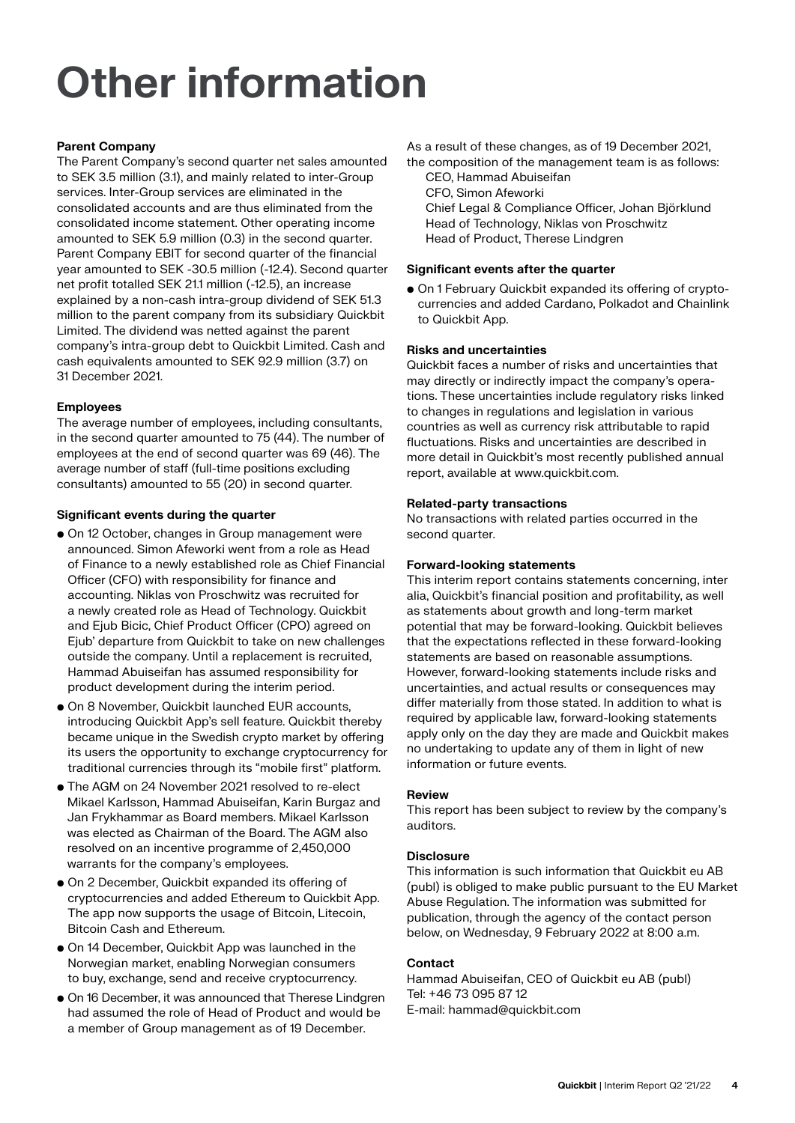# **Other information**

### **Parent Company**

The Parent Company's second quarter net sales amounted to SEK 3.5 million (3.1), and mainly related to inter-Group services. Inter-Group services are eliminated in the consolidated accounts and are thus eliminated from the consolidated income statement. Other operating income amounted to SEK 5.9 million (0.3) in the second quarter. Parent Company EBIT for second quarter of the financial year amounted to SEK -30.5 million (-12.4). Second quarter net profit totalled SEK 21.1 million (-12.5), an increase explained by a non-cash intra-group dividend of SEK 51.3 million to the parent company from its subsidiary Quickbit Limited. The dividend was netted against the parent company's intra-group debt to Quickbit Limited. Cash and cash equivalents amounted to SEK 92.9 million (3.7) on 31 December 2021.

### **Employees**

The average number of employees, including consultants, in the second quarter amounted to 75 (44). The number of employees at the end of second quarter was 69 (46). The average number of staff (full-time positions excluding consultants) amounted to 55 (20) in second quarter.

### **Significant events during the quarter**

- On 12 October, changes in Group management were announced. Simon Afeworki went from a role as Head of Finance to a newly established role as Chief Financial Officer (CFO) with responsibility for finance and accounting. Niklas von Proschwitz was recruited for a newly created role as Head of Technology. Quickbit and Ejub Bicic, Chief Product Officer (CPO) agreed on Ejub' departure from Quickbit to take on new challenges outside the company. Until a replacement is recruited, Hammad Abuiseifan has assumed responsibility for product development during the interim period.
- On 8 November, Quickbit launched EUR accounts, introducing Quickbit App's sell feature. Quickbit thereby became unique in the Swedish crypto market by offering its users the opportunity to exchange cryptocurrency for traditional currencies through its "mobile first" platform.
- The AGM on 24 November 2021 resolved to re-elect Mikael Karlsson, Hammad Abuiseifan, Karin Burgaz and Jan Frykhammar as Board members. Mikael Karlsson was elected as Chairman of the Board. The AGM also resolved on an incentive programme of 2,450,000 warrants for the company's employees.
- On 2 December, Quickbit expanded its offering of cryptocurrencies and added Ethereum to Quickbit App. The app now supports the usage of Bitcoin, Litecoin, Bitcoin Cash and Ethereum.
- On 14 December, Quickbit App was launched in the Norwegian market, enabling Norwegian consumers to buy, exchange, send and receive cryptocurrency.
- On 16 December, it was announced that Therese Lindgren had assumed the role of Head of Product and would be a member of Group management as of 19 December.

As a result of these changes, as of 19 December 2021, the composition of the management team is as follows:

CEO, Hammad Abuiseifan CFO, Simon Afeworki Chief Legal & Compliance Officer, Johan Björklund Head of Technology, Niklas von Proschwitz Head of Product, Therese Lindgren

### **Significant events after the quarter**

• On 1 February Quickbit expanded its offering of cryptocurrencies and added Cardano, Polkadot and Chainlink to Quickbit App.

### **Risks and uncertainties**

Quickbit faces a number of risks and uncertainties that may directly or indirectly impact the company's operations. These uncertainties include regulatory risks linked to changes in regulations and legislation in various countries as well as currency risk attributable to rapid fluctuations. Risks and uncertainties are described in more detail in Quickbit's most recently published annual report, available at www.quickbit.com.

### **Related-party transactions**

No transactions with related parties occurred in the second quarter.

### **Forward-looking statements**

This interim report contains statements concerning, inter alia, Quickbit's financial position and profitability, as well as statements about growth and long-term market potential that may be forward-looking. Quickbit believes that the expectations reflected in these forward-looking statements are based on reasonable assumptions. However, forward-looking statements include risks and uncertainties, and actual results or consequences may differ materially from those stated. In addition to what is required by applicable law, forward-looking statements apply only on the day they are made and Quickbit makes no undertaking to update any of them in light of new information or future events.

### **Review**

This report has been subject to review by the company's auditors.

### **Disclosure**

This information is such information that Quickbit eu AB (publ) is obliged to make public pursuant to the EU Market Abuse Regulation. The information was submitted for publication, through the agency of the contact person below, on Wednesday, 9 February 2022 at 8:00 a.m.

### **Contact**

Hammad Abuiseifan, CEO of Quickbit eu AB (publ) Tel: +46 73 095 87 12 E-mail: hammad@quickbit.com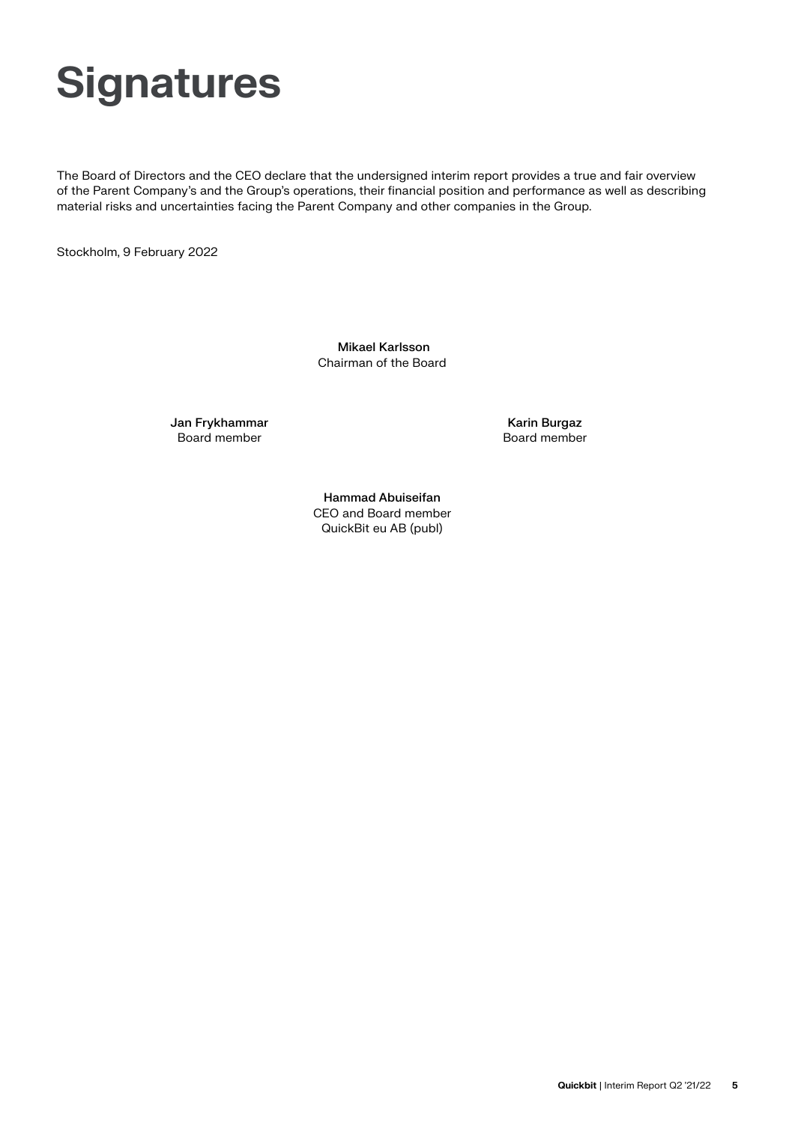# **Signatures**

The Board of Directors and the CEO declare that the undersigned interim report provides a true and fair overview of the Parent Company's and the Group's operations, their financial position and performance as well as describing material risks and uncertainties facing the Parent Company and other companies in the Group.

Stockholm, 9 February 2022

 Mikael Karlsson Chairman of the Board

Jan Frykhammar Board member

Karin Burgaz Board member

Hammad Abuiseifan CEO and Board member QuickBit eu AB (publ)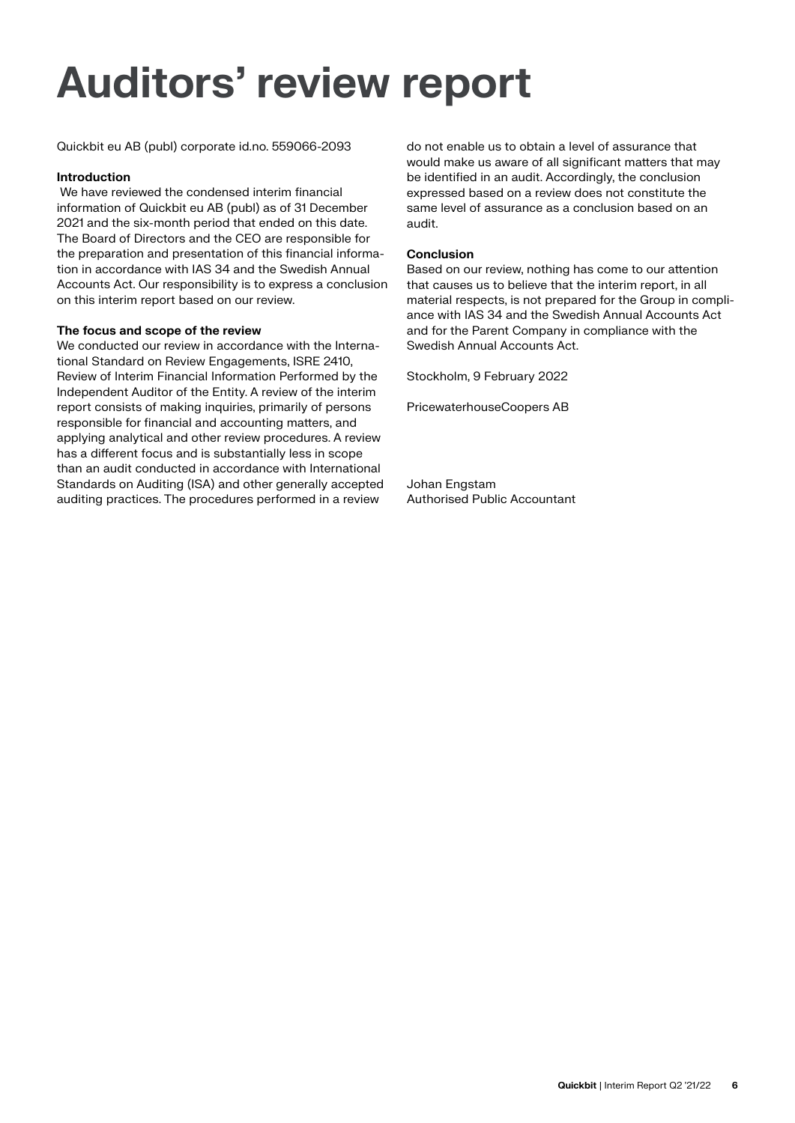# **Auditors' review report**

Quickbit eu AB (publ) corporate id.no. 559066-2093

### **Introduction**

 We have reviewed the condensed interim financial information of Quickbit eu AB (publ) as of 31 December 2021 and the six-month period that ended on this date. The Board of Directors and the CEO are responsible for the preparation and presentation of this financial information in accordance with IAS 34 and the Swedish Annual Accounts Act. Our responsibility is to express a conclusion on this interim report based on our review.

### **The focus and scope of the review**

We conducted our review in accordance with the International Standard on Review Engagements, ISRE 2410, Review of Interim Financial Information Performed by the Independent Auditor of the Entity. A review of the interim report consists of making inquiries, primarily of persons responsible for financial and accounting matters, and applying analytical and other review procedures. A review has a different focus and is substantially less in scope than an audit conducted in accordance with International Standards on Auditing (ISA) and other generally accepted auditing practices. The procedures performed in a review

do not enable us to obtain a level of assurance that would make us aware of all significant matters that may be identified in an audit. Accordingly, the conclusion expressed based on a review does not constitute the same level of assurance as a conclusion based on an audit.

### **Conclusion**

Based on our review, nothing has come to our attention that causes us to believe that the interim report, in all material respects, is not prepared for the Group in compliance with IAS 34 and the Swedish Annual Accounts Act and for the Parent Company in compliance with the Swedish Annual Accounts Act.

Stockholm, 9 February 2022

PricewaterhouseCoopers AB

Johan Engstam Authorised Public Accountant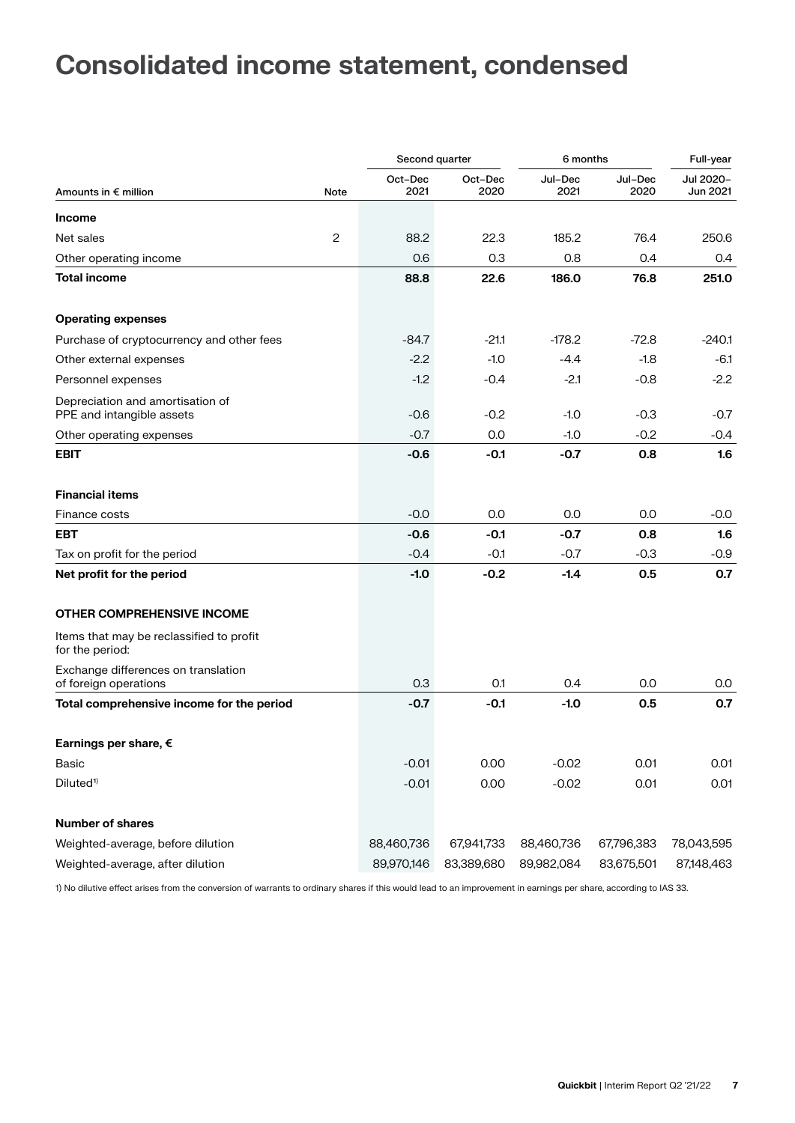# **Consolidated income statement, condensed**

|                                                               |      | Second quarter  |                 | 6 months        |                 | Full-year             |
|---------------------------------------------------------------|------|-----------------|-----------------|-----------------|-----------------|-----------------------|
| Amounts in € million                                          | Note | Oct-Dec<br>2021 | Oct-Dec<br>2020 | Jul-Dec<br>2021 | Jul-Dec<br>2020 | Jul 2020-<br>Jun 2021 |
| <b>Income</b>                                                 |      |                 |                 |                 |                 |                       |
| Net sales                                                     | 2    | 88.2            | 22.3            | 185.2           | 76.4            | 250.6                 |
| Other operating income                                        |      | 0.6             | 0.3             | 0.8             | 0.4             | 0.4                   |
| <b>Total income</b>                                           |      | 88.8            | 22.6            | 186.0           | 76.8            | 251.0                 |
| <b>Operating expenses</b>                                     |      |                 |                 |                 |                 |                       |
| Purchase of cryptocurrency and other fees                     |      | $-84.7$         | $-21.1$         | $-178.2$        | $-72.8$         | $-240.1$              |
| Other external expenses                                       |      | $-2.2$          | $-1.0$          | $-4.4$          | $-1.8$          | $-6.1$                |
| Personnel expenses                                            |      | $-1.2$          | $-0.4$          | $-2.1$          | $-0.8$          | $-2.2$                |
| Depreciation and amortisation of<br>PPE and intangible assets |      | $-0.6$          | $-0.2$          | $-1.0$          | $-0.3$          | $-0.7$                |
| Other operating expenses                                      |      | $-0.7$          | 0.0             | $-1.0$          | $-0.2$          | $-0.4$                |
| <b>EBIT</b>                                                   |      | $-0.6$          | $-0.1$          | $-0.7$          | 0.8             | 1.6                   |
| <b>Financial items</b>                                        |      |                 |                 |                 |                 |                       |
| Finance costs                                                 |      | $-0.0$          | 0.0             | 0.0             | 0.0             | $-0.0$                |
| <b>EBT</b>                                                    |      | -0.6            | $-0.1$          | -0.7            | 0.8             | 1.6                   |
| Tax on profit for the period                                  |      | $-0.4$          | $-0.1$          | $-0.7$          | $-0.3$          | $-0.9$                |
| Net profit for the period                                     |      | $-1.0$          | $-0.2$          | $-1.4$          | 0.5             | 0.7                   |
| <b>OTHER COMPREHENSIVE INCOME</b>                             |      |                 |                 |                 |                 |                       |
| Items that may be reclassified to profit<br>for the period:   |      |                 |                 |                 |                 |                       |
| Exchange differences on translation<br>of foreign operations  |      | 0.3             | 0.1             | 0.4             | 0.0             | 0.0                   |
| Total comprehensive income for the period                     |      | $-0.7$          | $-0.1$          | $-1.0$          | 0.5             | 0.7                   |
| Earnings per share, €                                         |      |                 |                 |                 |                 |                       |
| Basic                                                         |      | $-0.01$         | 0.00            | $-0.02$         | 0.01            | 0.01                  |
| Diluted <sup>1)</sup>                                         |      | $-0.01$         | 0.00            | $-0.02$         | 0.01            | 0.01                  |
| <b>Number of shares</b>                                       |      |                 |                 |                 |                 |                       |
| Weighted-average, before dilution                             |      | 88,460,736      | 67,941,733      | 88,460,736      | 67,796,383      | 78,043,595            |
| Weighted-average, after dilution                              |      | 89,970,146      | 83,389,680      | 89,982,084      | 83,675,501      | 87,148,463            |

1) No dilutive effect arises from the conversion of warrants to ordinary shares if this would lead to an improvement in earnings per share, according to IAS 33.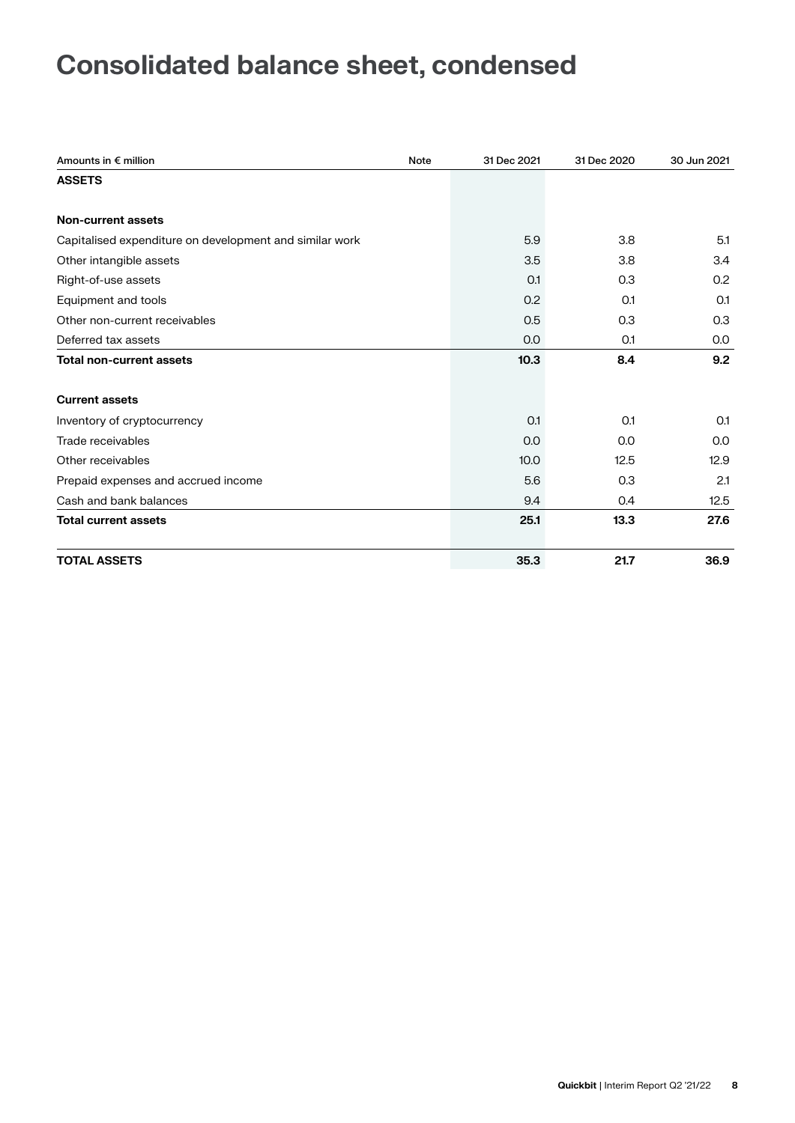# **Consolidated balance sheet, condensed**

| Amounts in € million<br><b>Note</b>                     | 31 Dec 2021 | 31 Dec 2020 | 30 Jun 2021 |
|---------------------------------------------------------|-------------|-------------|-------------|
| <b>ASSETS</b>                                           |             |             |             |
|                                                         |             |             |             |
| Non-current assets                                      |             |             |             |
| Capitalised expenditure on development and similar work | 5.9         | 3.8         | 5.1         |
| Other intangible assets                                 | 3.5         | 3.8         | 3.4         |
| Right-of-use assets                                     | O.1         | 0.3         | 0.2         |
| Equipment and tools                                     | 0.2         | 0.1         | O.1         |
| Other non-current receivables                           | 0.5         | 0.3         | 0.3         |
| Deferred tax assets                                     | 0.0         | 0.1         | 0.0         |
| <b>Total non-current assets</b>                         | 10.3        | 8.4         | 9.2         |
|                                                         |             |             |             |
| <b>Current assets</b>                                   |             |             |             |
| Inventory of cryptocurrency                             | 0.1         | O.1         | O.1         |
| Trade receivables                                       | 0.0         | 0.0         | 0.0         |
| Other receivables                                       | 10.0        | 12.5        | 12.9        |
| Prepaid expenses and accrued income                     | 5.6         | 0.3         | 2.1         |
| Cash and bank balances                                  | 9.4         | 0.4         | 12.5        |
| <b>Total current assets</b>                             | 25.1        | 13.3        | 27.6        |
| <b>TOTAL ASSETS</b>                                     | 35.3        | 21.7        | 36.9        |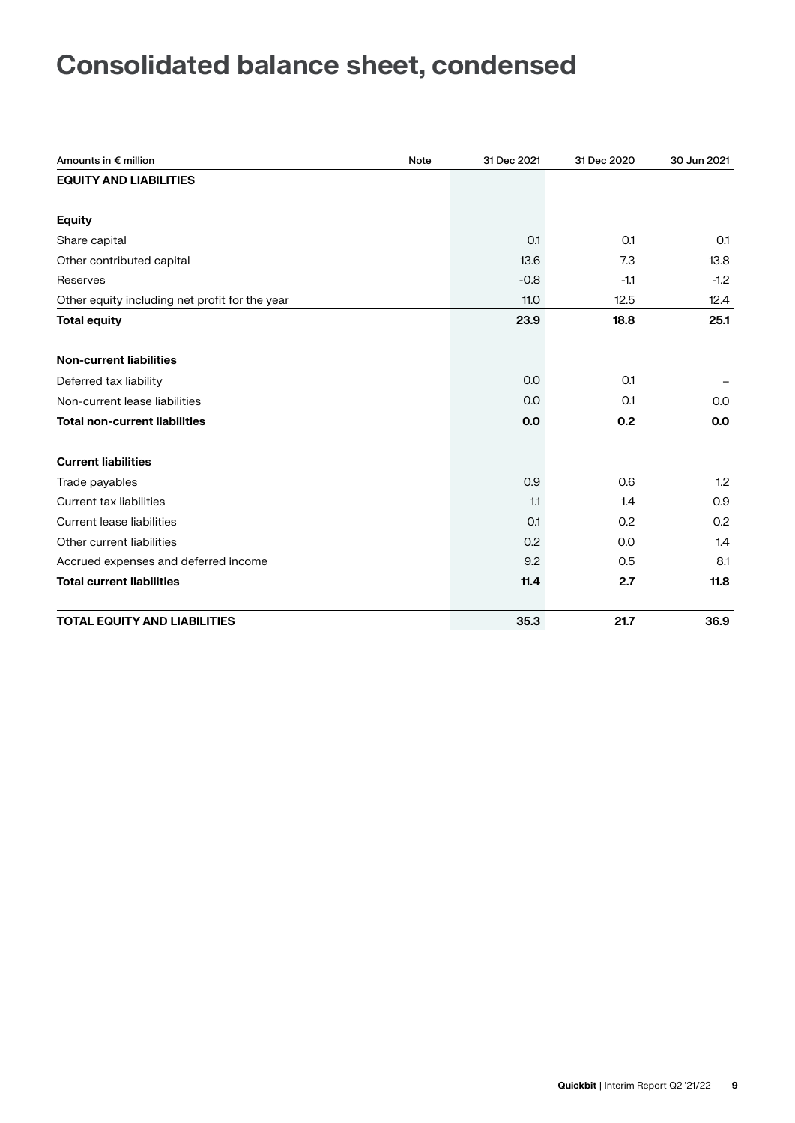# **Consolidated balance sheet, condensed**

| Amounts in € million                           | <b>Note</b> | 31 Dec 2021 | 31 Dec 2020 | 30 Jun 2021 |
|------------------------------------------------|-------------|-------------|-------------|-------------|
| <b>EQUITY AND LIABILITIES</b>                  |             |             |             |             |
|                                                |             |             |             |             |
| <b>Equity</b>                                  |             |             |             |             |
| Share capital                                  |             | O.1         | 0.1         | O.1         |
| Other contributed capital                      |             | 13.6        | 7.3         | 13.8        |
| Reserves                                       |             | $-0.8$      | $-1.1$      | $-1.2$      |
| Other equity including net profit for the year |             | 11.0        | 12.5        | 12.4        |
| <b>Total equity</b>                            |             | 23.9        | 18.8        | 25.1        |
|                                                |             |             |             |             |
| <b>Non-current liabilities</b>                 |             |             |             |             |
| Deferred tax liability                         |             | 0.0         | 0.1         |             |
| Non-current lease liabilities                  |             | 0.0         | 0.1         | 0.0         |
| <b>Total non-current liabilities</b>           |             | 0.0         | 0.2         | 0.0         |
|                                                |             |             |             |             |
| <b>Current liabilities</b>                     |             |             |             |             |
| Trade payables                                 |             | 0.9         | 0.6         | 1.2         |
| <b>Current tax liabilities</b>                 |             | 1.1         | 1.4         | 0.9         |
| <b>Current lease liabilities</b>               |             | O.1         | 0.2         | 0.2         |
| Other current liabilities                      |             | 0.2         | 0.0         | 1.4         |
| Accrued expenses and deferred income           |             | 9.2         | 0.5         | 8.1         |
| <b>Total current liabilities</b>               |             | 11.4        | 2.7         | 11.8        |
|                                                |             |             |             |             |
| <b>TOTAL EQUITY AND LIABILITIES</b>            |             | 35.3        | 21.7        | 36.9        |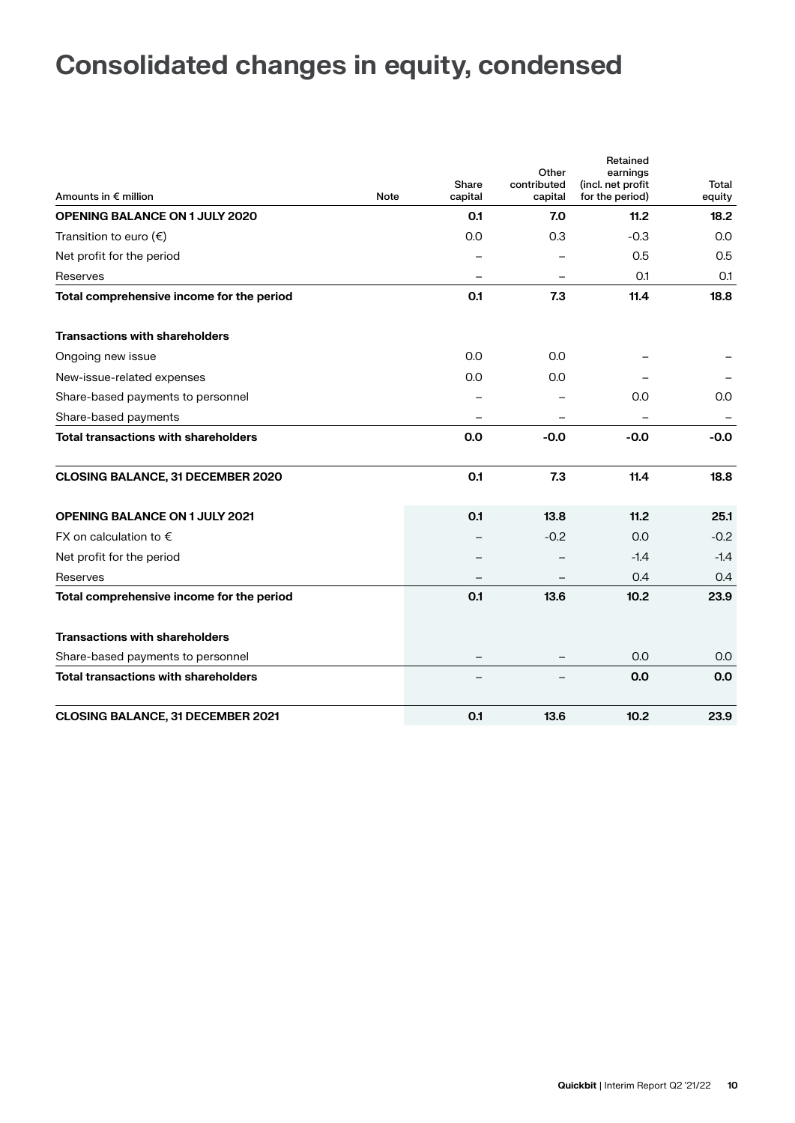# **Consolidated changes in equity, condensed**

| Amounts in $\epsilon$ million               | Note | Share<br>capital         | Other<br>contributed<br>capital | Retained<br>earnings<br>(incl. net profit<br>for the period) | Total<br>equity |
|---------------------------------------------|------|--------------------------|---------------------------------|--------------------------------------------------------------|-----------------|
| <b>OPENING BALANCE ON 1 JULY 2020</b>       |      | 0.1                      | 7.0                             | 11.2                                                         | 18.2            |
| Transition to euro $(\epsilon)$             |      | 0.0                      | 0.3                             | $-0.3$                                                       | 0.0             |
| Net profit for the period                   |      |                          |                                 | 0.5                                                          | 0.5             |
| Reserves                                    |      |                          |                                 | O.1                                                          | 0.1             |
| Total comprehensive income for the period   |      | 0.1                      | 7.3                             | 11.4                                                         | 18.8            |
| <b>Transactions with shareholders</b>       |      |                          |                                 |                                                              |                 |
| Ongoing new issue                           |      | 0.0                      | 0.0                             |                                                              |                 |
| New-issue-related expenses                  |      | 0.0                      | 0.0                             |                                                              |                 |
| Share-based payments to personnel           |      |                          |                                 | 0.0                                                          | 0.0             |
| Share-based payments                        |      | $\overline{\phantom{0}}$ | -                               |                                                              |                 |
| <b>Total transactions with shareholders</b> |      | 0.0                      | $-0.0$                          | $-0.0$                                                       | $-0.0$          |
| <b>CLOSING BALANCE, 31 DECEMBER 2020</b>    |      | 0.1                      | 7.3                             | 11.4                                                         | 18.8            |
| <b>OPENING BALANCE ON 1 JULY 2021</b>       |      | 0.1                      | 13.8                            | 11.2                                                         | 25.1            |
| FX on calculation to $\epsilon$             |      |                          | $-0.2$                          | 0.0                                                          | $-0.2$          |
| Net profit for the period                   |      |                          |                                 | $-1.4$                                                       | $-1.4$          |
| Reserves                                    |      |                          |                                 | 0.4                                                          | 0.4             |
| Total comprehensive income for the period   |      | 0.1                      | 13.6                            | 10.2                                                         | 23.9            |
| <b>Transactions with shareholders</b>       |      |                          |                                 |                                                              |                 |
| Share-based payments to personnel           |      |                          |                                 | 0.0                                                          | 0.0             |
| <b>Total transactions with shareholders</b> |      |                          |                                 | 0.0                                                          | 0.0             |
| <b>CLOSING BALANCE, 31 DECEMBER 2021</b>    |      | 0.1                      | 13.6                            | 10.2                                                         | 23.9            |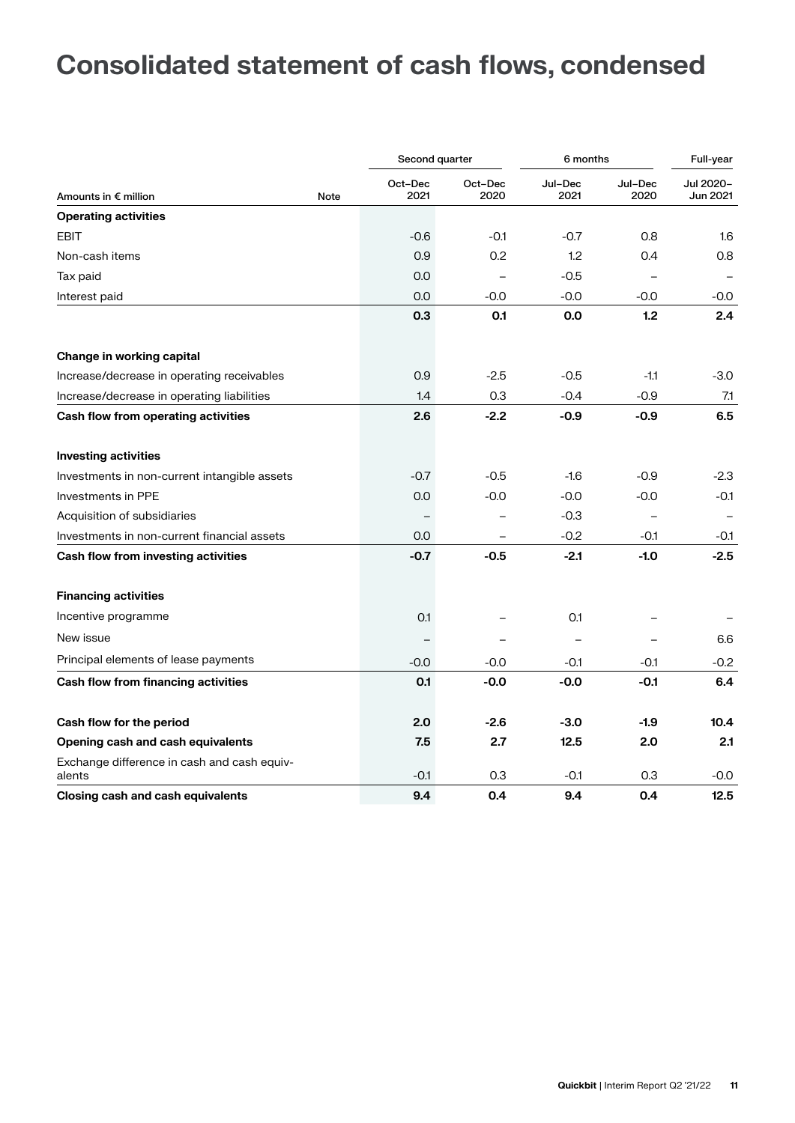# **Consolidated statement of cash flows, condensed**

|                                                       |             | Second quarter  |                          | 6 months        |                 | Full-year                |
|-------------------------------------------------------|-------------|-----------------|--------------------------|-----------------|-----------------|--------------------------|
| Amounts in € million                                  | <b>Note</b> | Oct-Dec<br>2021 | Oct-Dec<br>2020          | Jul-Dec<br>2021 | Jul-Dec<br>2020 | Jul 2020-<br>Jun 2021    |
| <b>Operating activities</b>                           |             |                 |                          |                 |                 |                          |
| <b>EBIT</b>                                           |             | $-0.6$          | $-0.1$                   | $-0.7$          | 0.8             | 1.6                      |
| Non-cash items                                        |             | 0.9             | 0.2                      | 1.2             | 0.4             | 0.8                      |
| Tax paid                                              |             | 0.0             | $\overline{\phantom{0}}$ | $-0.5$          |                 | $\overline{\phantom{0}}$ |
| Interest paid                                         |             | 0.0             | $-0.0$                   | $-0.0$          | $-0.0 -$        | $-0.0 -$                 |
|                                                       |             | 0.3             | 0.1                      | 0.0             | 1.2             | 2.4                      |
| Change in working capital                             |             |                 |                          |                 |                 |                          |
| Increase/decrease in operating receivables            |             | 0.9             | $-2.5$                   | $-0.5$          | $-1.1$          | $-3.0$                   |
| Increase/decrease in operating liabilities            |             | 1.4             | 0.3                      | $-0.4$          | $-0.9$          | 7.1                      |
| Cash flow from operating activities                   |             | 2.6             | $-2.2$                   | $-0.9$          | $-0.9$          | 6.5                      |
| <b>Investing activities</b>                           |             |                 |                          |                 |                 |                          |
| Investments in non-current intangible assets          |             | $-0.7$          | $-0.5$                   | $-1.6$          | $-0.9$          | $-2.3$                   |
| Investments in PPE                                    |             | 0.0             | $-0.0$                   | $-0.0$          | $-0.0 -$        | $-0.1$                   |
| Acquisition of subsidiaries                           |             |                 |                          | $-0.3$          |                 | $\overline{\phantom{0}}$ |
| Investments in non-current financial assets           |             | 0.0             |                          | $-0.2$          | $-0.1$          | $-0.1$                   |
| Cash flow from investing activities                   |             | $-0.7$          | $-0.5$                   | $-2.1$          | $-1.0$          | $-2.5$                   |
| <b>Financing activities</b>                           |             |                 |                          |                 |                 |                          |
| Incentive programme                                   |             | 0.1             |                          | 0.1             |                 |                          |
| New issue                                             |             |                 |                          |                 |                 | 6.6                      |
| Principal elements of lease payments                  |             | $-0.0$          | $-0.0$                   | $-0.1$          | $-0.1$          | $-0.2$                   |
| <b>Cash flow from financing activities</b>            |             | 0.1             | -0.0                     | $-0.0$          | $-0.1$          | 6.4                      |
| Cash flow for the period                              |             | 2.0             | $-2.6$                   | $-3.0$          | $-1.9$          | 10.4                     |
| Opening cash and cash equivalents                     |             | 7.5             | 2.7                      | 12.5            | 2.0             | 2.1                      |
| Exchange difference in cash and cash equiv-<br>alents |             | $-0.1$          | 0.3                      | $-0.1$          | 0.3             | $-0.0$                   |
| <b>Closing cash and cash equivalents</b>              |             | 9.4             | 0.4                      | 9.4             | 0.4             | 12.5                     |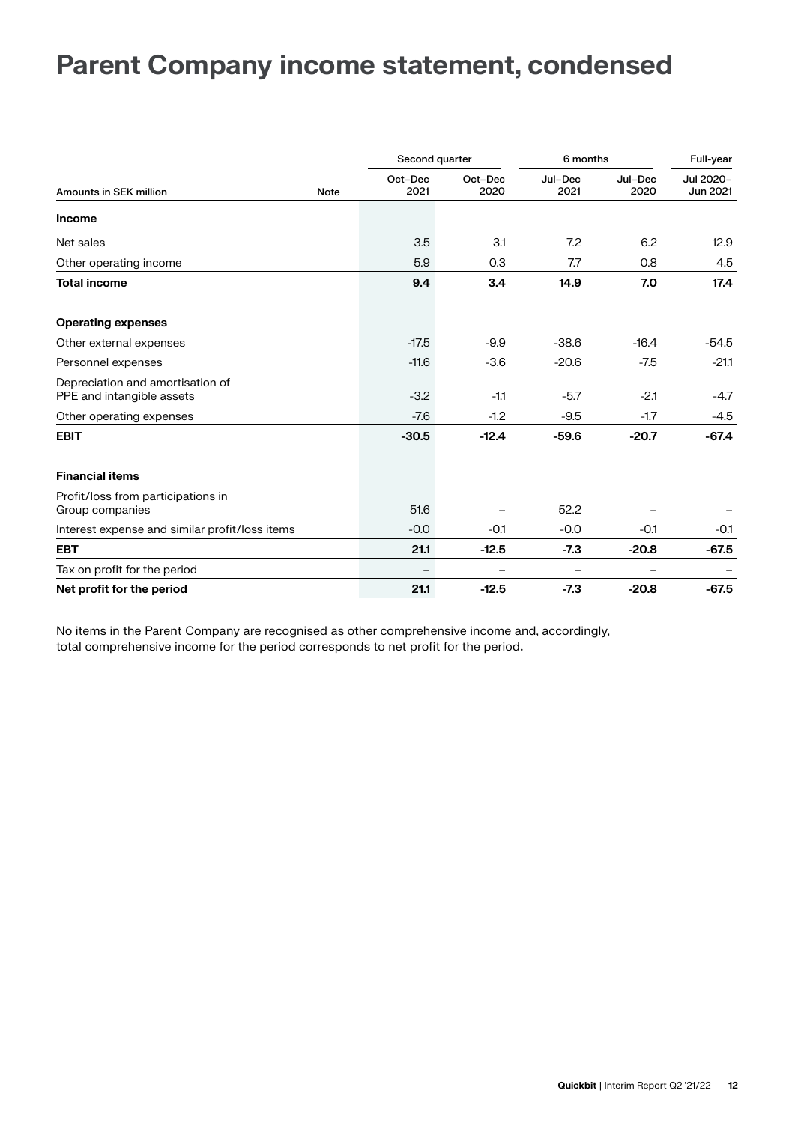### **Parent Company income statement, condensed**

|                                                               |                         | Second quarter  | 6 months        |                 | Full-year             |
|---------------------------------------------------------------|-------------------------|-----------------|-----------------|-----------------|-----------------------|
| <b>Amounts in SEK million</b>                                 | Oct-Dec<br>2021<br>Note | Oct-Dec<br>2020 | Jul-Dec<br>2021 | Jul-Dec<br>2020 | Jul 2020-<br>Jun 2021 |
| <b>Income</b>                                                 |                         |                 |                 |                 |                       |
| Net sales                                                     | 3.5                     | 3.1             | 7.2             | 6.2             | 12.9                  |
| Other operating income                                        | 5.9                     | 0.3             | 7.7             | 0.8             | 4.5                   |
| <b>Total income</b>                                           | 9.4                     | 3.4             | 14.9            | 7.0             | 17.4                  |
| <b>Operating expenses</b>                                     |                         |                 |                 |                 |                       |
| Other external expenses                                       | $-17.5$                 | $-9.9$          | $-38.6$         | $-16.4$         | $-54.5$               |
| Personnel expenses                                            | $-11.6$                 | $-3.6$          | $-20.6$         | $-7.5$          | $-21.1$               |
| Depreciation and amortisation of<br>PPE and intangible assets | $-3.2$                  | $-1.1$          | $-5.7$          | $-2.1$          | $-4.7$                |
| Other operating expenses                                      | $-7.6$                  | $-1.2$          | $-9.5$          | $-1.7$          | $-4.5$                |
| <b>EBIT</b>                                                   | $-30.5$                 | $-12.4$         | $-59.6$         | $-20.7$         | $-67.4$               |
| <b>Financial items</b>                                        |                         |                 |                 |                 |                       |
| Profit/loss from participations in<br>Group companies         | 51.6                    |                 | 52.2            |                 |                       |
| Interest expense and similar profit/loss items                | $-0.0$                  | $-0.1$          | $-0.0$          | $-0.1$          | $-0.1$                |
| <b>EBT</b>                                                    | 21.1                    | $-12.5$         | $-7.3$          | $-20.8$         | $-67.5$               |
| Tax on profit for the period                                  |                         |                 |                 |                 |                       |
| Net profit for the period                                     | 21.1                    | $-12.5$         | $-7.3$          | $-20.8$         | $-67.5$               |

No items in the Parent Company are recognised as other comprehensive income and, accordingly, total comprehensive income for the period corresponds to net profit for the period**.**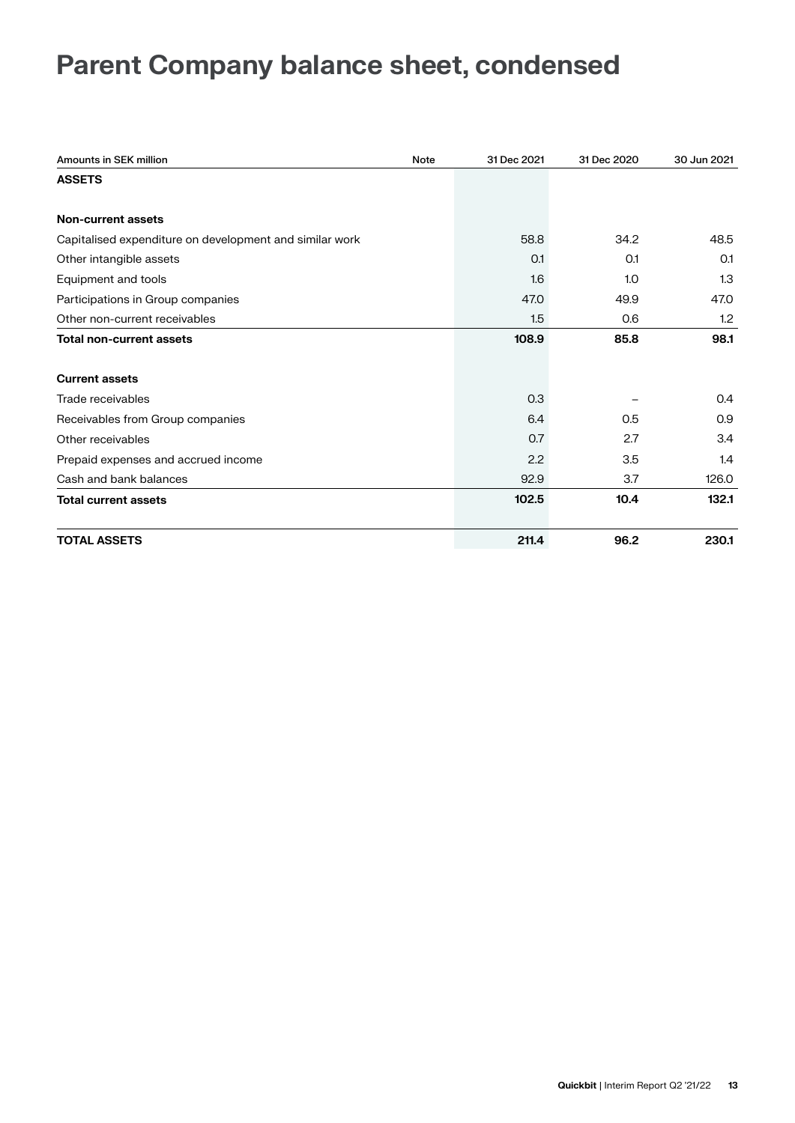# **Parent Company balance sheet, condensed**

| <b>Amounts in SEK million</b>                           | Note | 31 Dec 2021 | 31 Dec 2020 | 30 Jun 2021 |
|---------------------------------------------------------|------|-------------|-------------|-------------|
| <b>ASSETS</b>                                           |      |             |             |             |
| <b>Non-current assets</b>                               |      |             |             |             |
|                                                         |      |             |             |             |
| Capitalised expenditure on development and similar work |      | 58.8        | 34.2        | 48.5        |
| Other intangible assets                                 |      | O.1         | 0.1         | O.1         |
| Equipment and tools                                     |      | 1.6         | 1.0         | 1.3         |
| Participations in Group companies                       |      | 47.0        | 49.9        | 47.0        |
| Other non-current receivables                           |      | 1.5         | 0.6         | 1.2         |
| <b>Total non-current assets</b>                         |      | 108.9       | 85.8        | 98.1        |
| <b>Current assets</b>                                   |      |             |             |             |
| Trade receivables                                       |      | 0.3         |             | 0.4         |
| Receivables from Group companies                        |      | 6.4         | 0.5         | 0.9         |
| Other receivables                                       |      | 0.7         | 2.7         | 3.4         |
| Prepaid expenses and accrued income                     |      | 2.2         | 3.5         | 1.4         |
| Cash and bank balances                                  |      | 92.9        | 3.7         | 126.0       |
| <b>Total current assets</b>                             |      | 102.5       | 10.4        | 132.1       |
| <b>TOTAL ASSETS</b>                                     |      | 211.4       | 96.2        | 230.1       |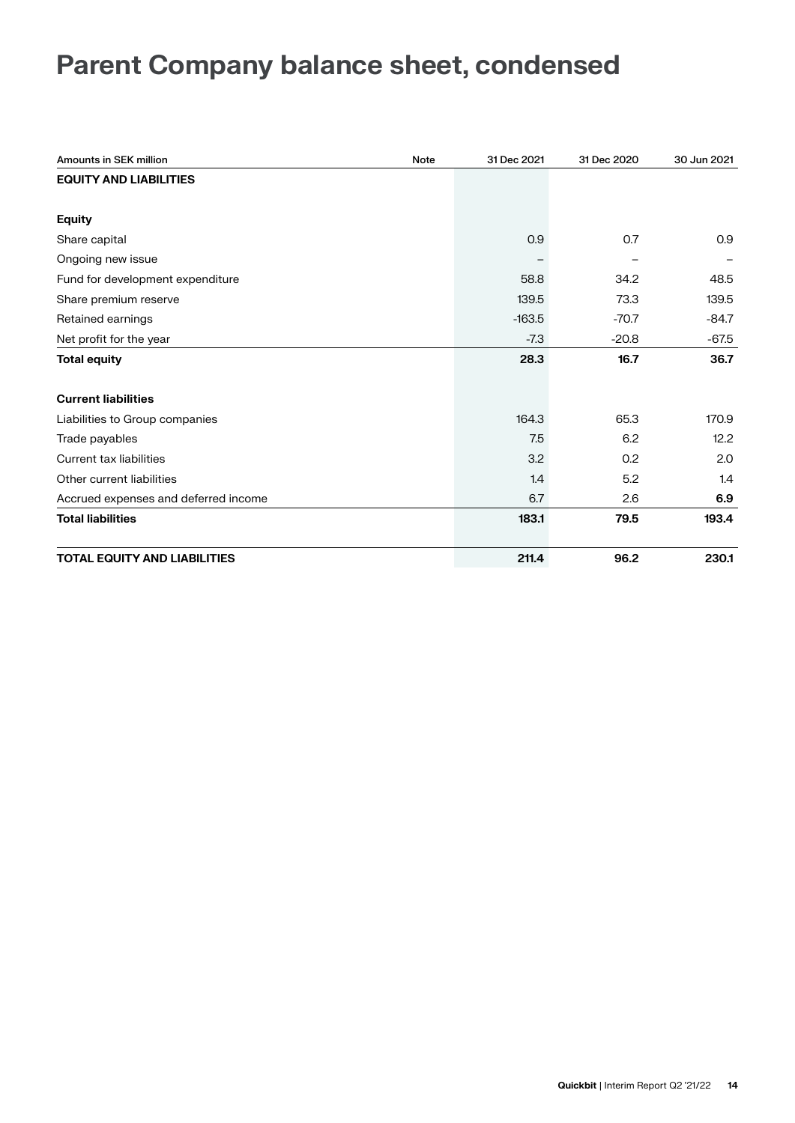# **Parent Company balance sheet, condensed**

| <b>Amounts in SEK million</b>        | Note | 31 Dec 2021 | 31 Dec 2020 | 30 Jun 2021 |
|--------------------------------------|------|-------------|-------------|-------------|
| <b>EQUITY AND LIABILITIES</b>        |      |             |             |             |
|                                      |      |             |             |             |
| <b>Equity</b>                        |      |             |             |             |
| Share capital                        |      | 0.9         | 0.7         | 0.9         |
| Ongoing new issue                    |      |             |             |             |
| Fund for development expenditure     |      | 58.8        | 34.2        | 48.5        |
| Share premium reserve                |      | 139.5       | 73.3        | 139.5       |
| Retained earnings                    |      | $-163.5$    | $-70.7$     | $-84.7$     |
| Net profit for the year              |      | $-7.3$      | $-20.8$     | $-67.5$     |
| <b>Total equity</b>                  |      | 28.3        | 16.7        | 36.7        |
| <b>Current liabilities</b>           |      |             |             |             |
| Liabilities to Group companies       |      | 164.3       | 65.3        | 170.9       |
| Trade payables                       |      | 7.5         | 6.2         | 12.2        |
| Current tax liabilities              |      | 3.2         | 0.2         | 2.0         |
| Other current liabilities            |      | 1.4         | 5.2         | 1.4         |
| Accrued expenses and deferred income |      | 6.7         | 2.6         | 6.9         |
| <b>Total liabilities</b>             |      | 183.1       | 79.5        | 193.4       |
| <b>TOTAL EQUITY AND LIABILITIES</b>  |      | 211.4       | 96.2        | 230.1       |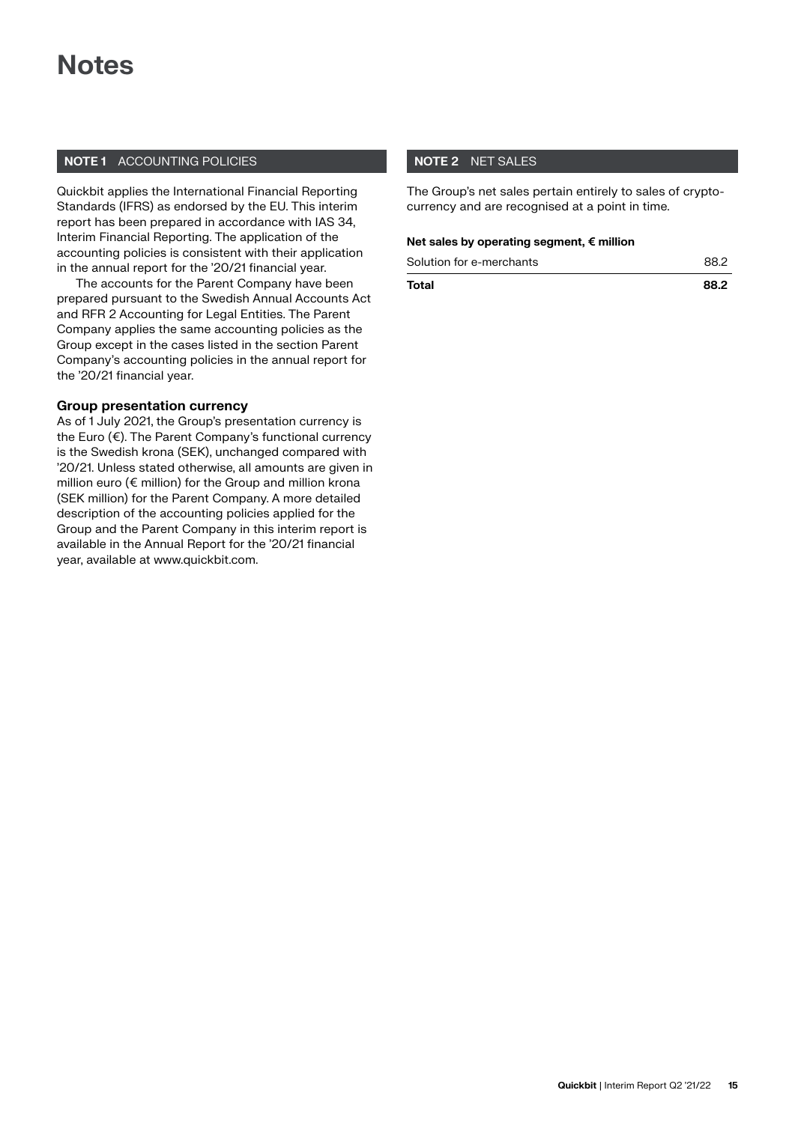### **Notes**

### **NOTE 1** ACCOUNTING POLICIES

Quickbit applies the International Financial Reporting Standards (IFRS) as endorsed by the EU. This interim report has been prepared in accordance with IAS 34, Interim Financial Reporting. The application of the accounting policies is consistent with their application in the annual report for the '20/21 financial year.

The accounts for the Parent Company have been prepared pursuant to the Swedish Annual Accounts Act and RFR 2 Accounting for Legal Entities. The Parent Company applies the same accounting policies as the Group except in the cases listed in the section Parent Company's accounting policies in the annual report for the '20/21 financial year.

### **Group presentation currency**

As of 1 July 2021, the Group's presentation currency is the Euro (€). The Parent Company's functional currency is the Swedish krona (SEK), unchanged compared with '20/21. Unless stated otherwise, all amounts are given in million euro (€ million) for the Group and million krona (SEK million) for the Parent Company. A more detailed description of the accounting policies applied for the Group and the Parent Company in this interim report is available in the Annual Report for the '20/21 financial year, available at www.quickbit.com.

### **NOTE 2** NET SALES

The Group's net sales pertain entirely to sales of cryptocurrency and are recognised at a point in time.

### **Net sales by operating segment, € million**

| Total | 88.2 |
|-------|------|
|       |      |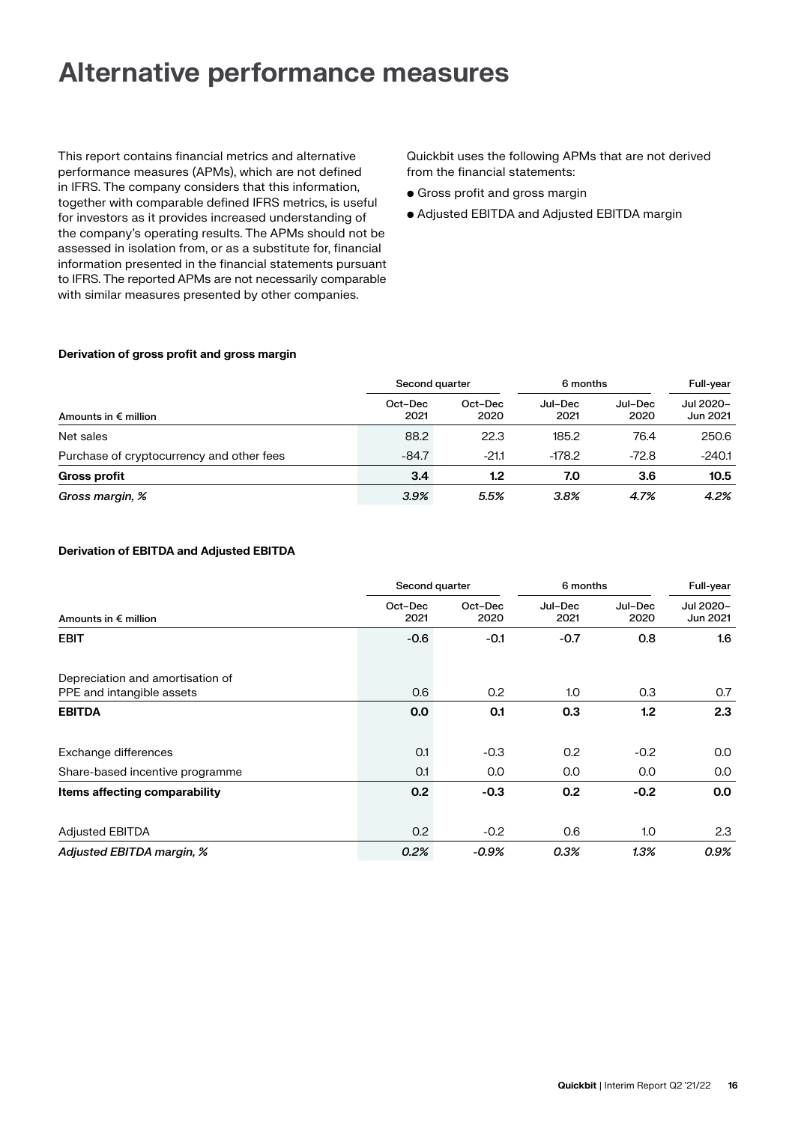### **Alternative performance measures**

This report contains financial metrics and alternative performance measures (APMs), which are not defined in IFRS. The company considers that this information, together with comparable defined IFRS metrics, is useful for investors as it provides increased understanding of the company's operating results. The APMs should not be assessed in isolation from, or as a substitute for, financial information presented in the financial statements pursuant to IFRS. The reported APMs are not necessarily comparable with similar measures presented by other companies.

Quickbit uses the following APMs that are not derived from the financial statements:

- Gross profit and gross margin
- Adjusted EBITDA and Adjusted EBITDA margin

### **Derivation of gross profit and gross margin**

|                                           | Second quarter  |                 | 6 months        |                 | Full-year             |
|-------------------------------------------|-----------------|-----------------|-----------------|-----------------|-----------------------|
| Amounts in $\epsilon$ million             | Oct-Dec<br>2021 | Oct-Dec<br>2020 | Jul-Dec<br>2021 | Jul-Dec<br>2020 | Jul 2020-<br>Jun 2021 |
| Net sales                                 | 88.2            | 22.3            | 185.2           | 76.4            | 250.6                 |
| Purchase of cryptocurrency and other fees | $-84.7$         | $-21.1$         | $-178.2$        | $-72.8$         | $-240.1$              |
| <b>Gross profit</b>                       | 3.4             | 1.2             | 7.0             | 3.6             | 10.5                  |
| Gross margin, %                           | 3.9%            | 5.5%            | 3.8%            | 4.7%            | 4.2%                  |

### **Derivation of EBITDA and Adjusted EBITDA**

|                                                               | Second quarter  |                 | 6 months        |                 | Full-year             |
|---------------------------------------------------------------|-----------------|-----------------|-----------------|-----------------|-----------------------|
| Amounts in $\epsilon$ million                                 | Oct-Dec<br>2021 | Oct-Dec<br>2020 | Jul-Dec<br>2021 | Jul-Dec<br>2020 | Jul 2020-<br>Jun 2021 |
| <b>EBIT</b>                                                   | $-0.6$          | $-0.1$          | $-0.7$          | 0.8             | 1.6                   |
| Depreciation and amortisation of<br>PPE and intangible assets | 0.6             | 0.2             | 1.0             | 0.3             | 0.7                   |
| <b>EBITDA</b>                                                 | 0.0             | 0.1             | 0.3             | 1.2             | 2.3                   |
| Exchange differences                                          | 0.1             | $-0.3$          | 0.2             | $-0.2$          | 0.0                   |
| Share-based incentive programme                               | O.1             | 0.0             | 0.0             | 0.0             | 0.0                   |
| Items affecting comparability                                 | 0.2             | $-0.3$          | 0.2             | $-0.2$          | 0.0                   |
| <b>Adjusted EBITDA</b>                                        | 0.2             | $-0.2$          | 0.6             | 1.0             | 2.3                   |
| Adjusted EBITDA margin, %                                     | 0.2%            | $-0.9%$         | 0.3%            | 1.3%            | 0.9%                  |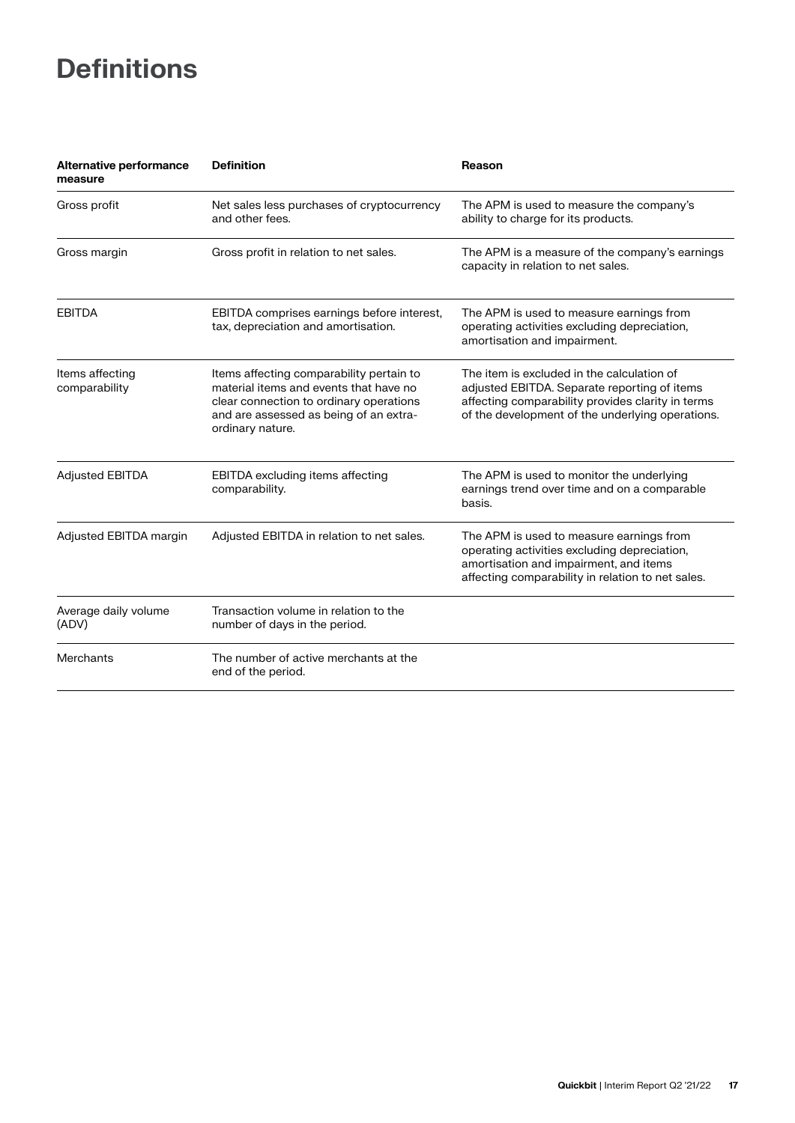# **Definitions**

| Alternative performance<br>measure | <b>Definition</b>                                                                                                                                                                           | <b>Reason</b>                                                                                                                                                                                       |
|------------------------------------|---------------------------------------------------------------------------------------------------------------------------------------------------------------------------------------------|-----------------------------------------------------------------------------------------------------------------------------------------------------------------------------------------------------|
| Gross profit                       | Net sales less purchases of cryptocurrency<br>and other fees.                                                                                                                               | The APM is used to measure the company's<br>ability to charge for its products.                                                                                                                     |
| Gross margin                       | Gross profit in relation to net sales.                                                                                                                                                      | The APM is a measure of the company's earnings<br>capacity in relation to net sales.                                                                                                                |
| <b>EBITDA</b>                      | EBITDA comprises earnings before interest,<br>tax, depreciation and amortisation.                                                                                                           | The APM is used to measure earnings from<br>operating activities excluding depreciation,<br>amortisation and impairment.                                                                            |
| Items affecting<br>comparability   | Items affecting comparability pertain to<br>material items and events that have no<br>clear connection to ordinary operations<br>and are assessed as being of an extra-<br>ordinary nature. | The item is excluded in the calculation of<br>adjusted EBITDA. Separate reporting of items<br>affecting comparability provides clarity in terms<br>of the development of the underlying operations. |
| <b>Adjusted EBITDA</b>             | <b>EBITDA</b> excluding items affecting<br>comparability.                                                                                                                                   | The APM is used to monitor the underlying<br>earnings trend over time and on a comparable<br>basis.                                                                                                 |
| Adjusted EBITDA margin             | Adjusted EBITDA in relation to net sales.                                                                                                                                                   | The APM is used to measure earnings from<br>operating activities excluding depreciation,<br>amortisation and impairment, and items<br>affecting comparability in relation to net sales.             |
| Average daily volume<br>(ADV)      | Transaction volume in relation to the<br>number of days in the period.                                                                                                                      |                                                                                                                                                                                                     |
| Merchants                          | The number of active merchants at the<br>end of the period.                                                                                                                                 |                                                                                                                                                                                                     |